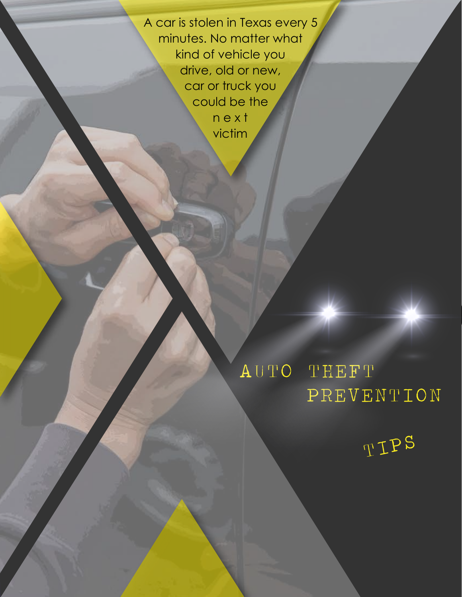A car is stolen in Texas every 5 minutes. No matter what kind of vehicle you drive, old or new, car or truck you could be the n e x t victim

AUTO THEFT

TIPS

PREVENTION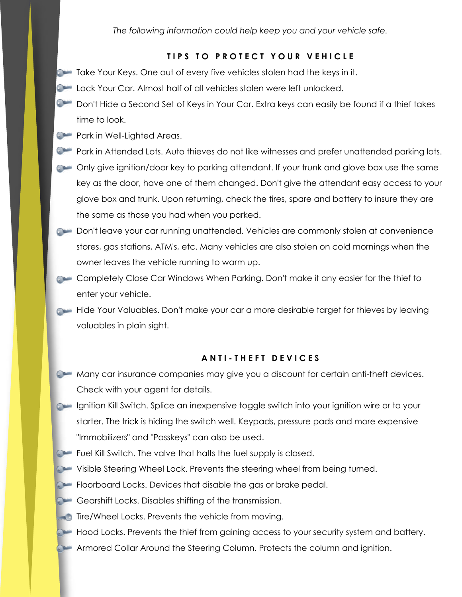*The following information could help keep you and your vehicle safe.*

## **TIPS TO PROTECT YOUR VEHICLE**

- **Take Your Keys. One out of every five vehicles stolen had the keys in it.**
- **Combinator Lock Your Car. Almost half of all vehicles stolen were left unlocked.**
- Don't Hide a Second Set of Keys in Your Car. Extra keys can easily be found if a thief takes time to look.
- **Park in Well-Lighted Areas.**
- **Park in Attended Lots. Auto thieves do not like witnesses and prefer unattended parking lots.**
- Only give ignition/door key to parking attendant. If your trunk and glove box use the same key as the door, have one of them changed. Don't give the attendant easy access to your glove box and trunk. Upon returning, check the tires, spare and battery to insure they are the same as those you had when you parked.
- Don't leave your car running unattended. Vehicles are commonly stolen at convenience stores, gas stations, ATM's, etc. Many vehicles are also stolen on cold mornings when the owner leaves the vehicle running to warm up.
- Completely Close Car Windows When Parking. Don't make it any easier for the thief to enter your vehicle.
- Hide Your Valuables. Don't make your car a more desirable target for thieves by leaving valuables in plain sight.

## **ANTI-THEFT DEVICES**

- Many car insurance companies may give you a discount for certain anti-theft devices. Check with your agent for details.
- **Combing Ignition Kill Switch. Splice an inexpensive toggle switch into your ignition wire or to your** starter. The trick is hiding the switch well. Keypads, pressure pads and more expensive "Immobilizers" and "Passkeys" can also be used.
- Fuel Kill Switch. The valve that halts the fuel supply is closed.
- Visible Steering Wheel Lock. Prevents the steering wheel from being turned.
- **Floorboard Locks. Devices that disable the gas or brake pedal.**
- Gearshift Locks. Disables shifting of the transmission.
- $\blacksquare$  Tire/Wheel Locks. Prevents the vehicle from moving.
- Hood Locks. Prevents the thief from gaining access to your security system and battery.
- **Armored Collar Around the Steering Column. Protects the column and ignition.**